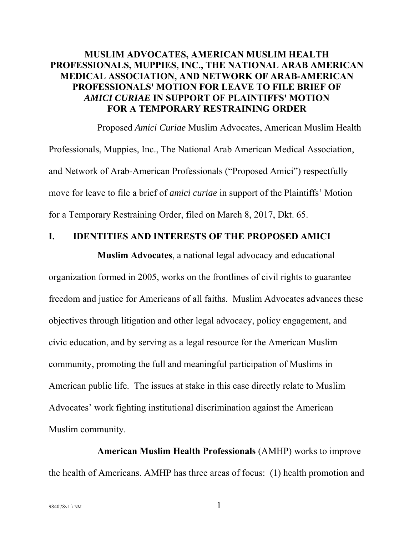# **MUSLIM ADVOCATES, AMERICAN MUSLIM HEALTH PROFESSIONALS, MUPPIES, INC., THE NATIONAL ARAB AMERICAN MEDICAL ASSOCIATION, AND NETWORK OF ARAB-AMERICAN PROFESSIONALS' MOTION FOR LEAVE TO FILE BRIEF OF**  *AMICI CURIAE* **IN SUPPORT OF PLAINTIFFS' MOTION FOR A TEMPORARY RESTRAINING ORDER**

Proposed *Amici Curiae* Muslim Advocates, American Muslim Health Professionals, Muppies, Inc., The National Arab American Medical Association, and Network of Arab-American Professionals ("Proposed Amici") respectfully move for leave to file a brief of *amici curiae* in support of the Plaintiffs' Motion for a Temporary Restraining Order, filed on March 8, 2017, Dkt. 65.

## **I. IDENTITIES AND INTERESTS OF THE PROPOSED AMICI**

**Muslim Advocates**, a national legal advocacy and educational organization formed in 2005, works on the frontlines of civil rights to guarantee freedom and justice for Americans of all faiths. Muslim Advocates advances these objectives through litigation and other legal advocacy, policy engagement, and civic education, and by serving as a legal resource for the American Muslim community, promoting the full and meaningful participation of Muslims in American public life. The issues at stake in this case directly relate to Muslim Advocates' work fighting institutional discrimination against the American Muslim community.

**American Muslim Health Professionals** (AMHP) works to improve the health of Americans. AMHP has three areas of focus: (1) health promotion and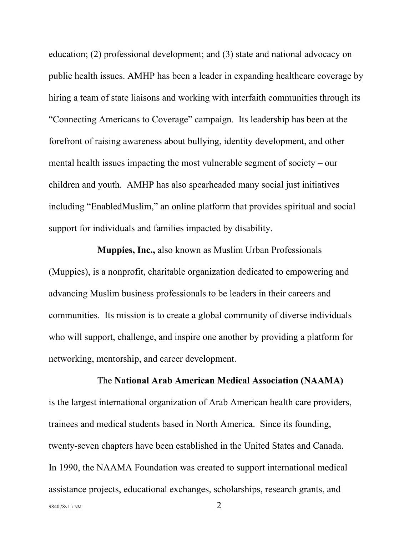education; (2) professional development; and (3) state and national advocacy on public health issues. AMHP has been a leader in expanding healthcare coverage by hiring a team of state liaisons and working with interfaith communities through its "Connecting Americans to Coverage" campaign. Its leadership has been at the forefront of raising awareness about bullying, identity development, and other mental health issues impacting the most vulnerable segment of society – our children and youth. AMHP has also spearheaded many social just initiatives including "EnabledMuslim," an online platform that provides spiritual and social support for individuals and families impacted by disability.

**Muppies, Inc.,** also known as Muslim Urban Professionals (Muppies), is a nonprofit, charitable organization dedicated to empowering and advancing Muslim business professionals to be leaders in their careers and communities. Its mission is to create a global community of diverse individuals who will support, challenge, and inspire one another by providing a platform for networking, mentorship, and career development.

The **National Arab American Medical Association (NAAMA)** is the largest international organization of Arab American health care providers, trainees and medical students based in North America. Since its founding, twenty-seven chapters have been established in the United States and Canada. In 1990, the NAAMA Foundation was created to support international medical assistance projects, educational exchanges, scholarships, research grants, and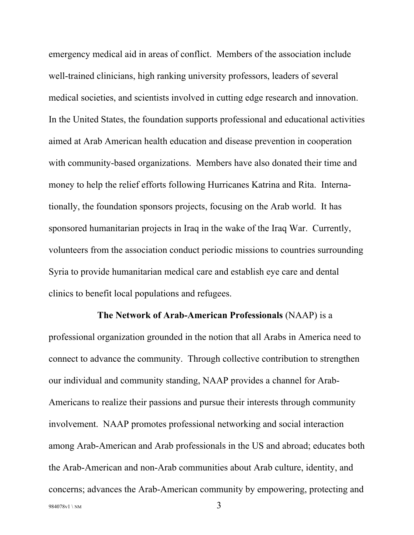emergency medical aid in areas of conflict. Members of the association include well-trained clinicians, high ranking university professors, leaders of several medical societies, and scientists involved in cutting edge research and innovation. In the United States, the foundation supports professional and educational activities aimed at Arab American health education and disease prevention in cooperation with community-based organizations. Members have also donated their time and money to help the relief efforts following Hurricanes Katrina and Rita. Internationally, the foundation sponsors projects, focusing on the Arab world. It has sponsored humanitarian projects in Iraq in the wake of the Iraq War. Currently, volunteers from the association conduct periodic missions to countries surrounding Syria to provide humanitarian medical care and establish eye care and dental clinics to benefit local populations and refugees.

### **The Network of Arab-American Professionals** (NAAP) is a

professional organization grounded in the notion that all Arabs in America need to connect to advance the community. Through collective contribution to strengthen our individual and community standing, NAAP provides a channel for Arab-Americans to realize their passions and pursue their interests through community involvement. NAAP promotes professional networking and social interaction among Arab-American and Arab professionals in the US and abroad; educates both the Arab-American and non-Arab communities about Arab culture, identity, and concerns; advances the Arab-American community by empowering, protecting and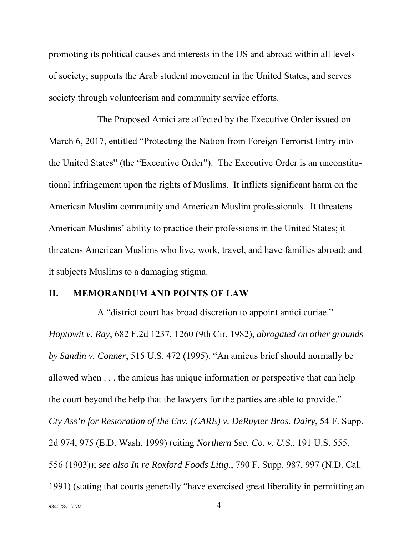promoting its political causes and interests in the US and abroad within all levels of society; supports the Arab student movement in the United States; and serves society through volunteerism and community service efforts.

The Proposed Amici are affected by the Executive Order issued on March 6, 2017, entitled "Protecting the Nation from Foreign Terrorist Entry into the United States" (the "Executive Order"). The Executive Order is an unconstitutional infringement upon the rights of Muslims. It inflicts significant harm on the American Muslim community and American Muslim professionals. It threatens American Muslims' ability to practice their professions in the United States; it threatens American Muslims who live, work, travel, and have families abroad; and it subjects Muslims to a damaging stigma.

#### **II. MEMORANDUM AND POINTS OF LAW**

A "district court has broad discretion to appoint amici curiae." *Hoptowit v. Ray*, 682 F.2d 1237, 1260 (9th Cir. 1982), *abrogated on other grounds by Sandin v. Conner*, 515 U.S. 472 (1995). "An amicus brief should normally be allowed when . . . the amicus has unique information or perspective that can help the court beyond the help that the lawyers for the parties are able to provide." *Cty Ass'n for Restoration of the Env. (CARE) v. DeRuyter Bros. Dairy*, 54 F. Supp. 2d 974, 975 (E.D. Wash. 1999) (citing *Northern Sec. Co. v. U.S.*, 191 U.S. 555, 556 (1903)); *see also In re Roxford Foods Litig.*, 790 F. Supp. 987, 997 (N.D. Cal. 1991) (stating that courts generally "have exercised great liberality in permitting an